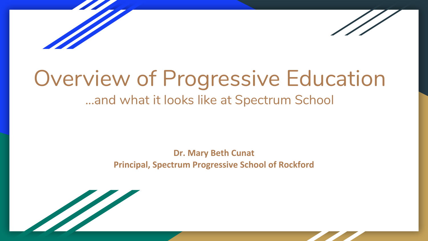

# Overview of Progressive Education

#### ...and what it looks like at Spectrum School

#### **Dr. Mary Beth Cunat Principal, Spectrum Progressive School of Rockford**

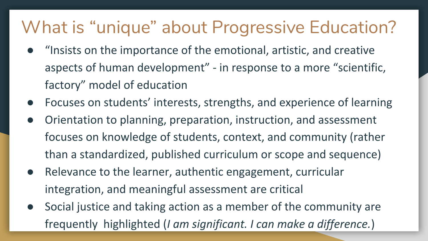#### What is "unique" about Progressive Education?

- "Insists on the importance of the emotional, artistic, and creative aspects of human development" - in response to a more "scientific, factory" model of education
- Focuses on students' interests, strengths, and experience of learning
- Orientation to planning, preparation, instruction, and assessment focuses on knowledge of students, context, and community (rather than a standardized, published curriculum or scope and sequence)
- Relevance to the learner, authentic engagement, curricular integration, and meaningful assessment are critical
- Social justice and taking action as a member of the community are frequently highlighted (*I am significant. I can make a difference.*)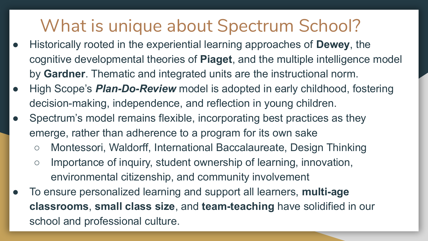#### What is unique about Spectrum School?

- Historically rooted in the experiential learning approaches of **Dewey**, the cognitive developmental theories of **Piaget**, and the multiple intelligence model by **Gardner**. Thematic and integrated units are the instructional norm.
- High Scope's *Plan-Do-Review* model is adopted in early childhood, fostering decision-making, independence, and reflection in young children.
- Spectrum's model remains flexible, incorporating best practices as they emerge, rather than adherence to a program for its own sake
	- Montessori, Waldorff, International Baccalaureate, Design Thinking
	- Importance of inquiry, student ownership of learning, innovation, environmental citizenship, and community involvement
- To ensure personalized learning and support all learners, **multi-age classrooms**, **small class size**, and **team-teaching** have solidified in our school and professional culture.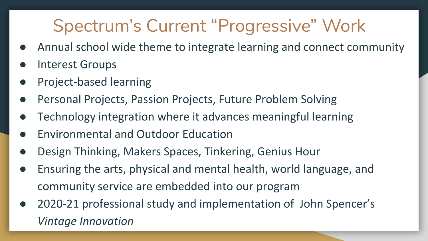### Spectrum's Current "Progressive" Work

- Annual school wide theme to integrate learning and connect community
- Interest Groups
- Project-based learning
- Personal Projects, Passion Projects, Future Problem Solving
- Technology integration where it advances meaningful learning
- **Environmental and Outdoor Education**
- Design Thinking, Makers Spaces, Tinkering, Genius Hour
- Ensuring the arts, physical and mental health, world language, and community service are embedded into our program
- 2020-21 professional study and implementation of John Spencer's *Vintage Innovation*